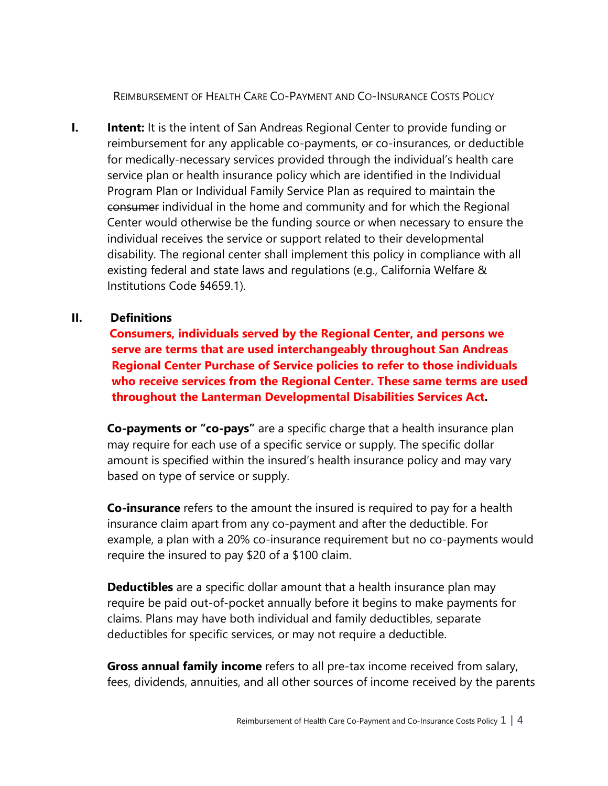REIMBURSEMENT OF HEALTH CARE CO-PAYMENT AND CO-INSURANCE COSTS POLICY

**I. Intent:** It is the intent of San Andreas Regional Center to provide funding or reimbursement for any applicable co-payments, or co-insurances, or deductible for medically-necessary services provided through the individual's health care service plan or health insurance policy which are identified in the Individual Program Plan or Individual Family Service Plan as required to maintain the consumer individual in the home and community and for which the Regional Center would otherwise be the funding source or when necessary to ensure the individual receives the service or support related to their developmental disability. The regional center shall implement this policy in compliance with all existing federal and state laws and regulations (e.g., California Welfare & Institutions Code §4659.1).

## **II. Definitions**

 **Consumers, individuals served by the Regional Center, and persons we serve are terms that are used interchangeably throughout San Andreas Regional Center Purchase of Service policies to refer to those individuals who receive services from the Regional Center. These same terms are used throughout the Lanterman Developmental Disabilities Services Act.**

**Co-payments or "co-pays"** are a specific charge that a health insurance plan may require for each use of a specific service or supply. The specific dollar amount is specified within the insured's health insurance policy and may vary based on type of service or supply.

**Co-insurance** refers to the amount the insured is required to pay for a health insurance claim apart from any co-payment and after the deductible. For example, a plan with a 20% co-insurance requirement but no co-payments would require the insured to pay \$20 of a \$100 claim.

**Deductibles** are a specific dollar amount that a health insurance plan may require be paid out-of-pocket annually before it begins to make payments for claims. Plans may have both individual and family deductibles, separate deductibles for specific services, or may not require a deductible.

**Gross annual family income** refers to all pre-tax income received from salary, fees, dividends, annuities, and all other sources of income received by the parents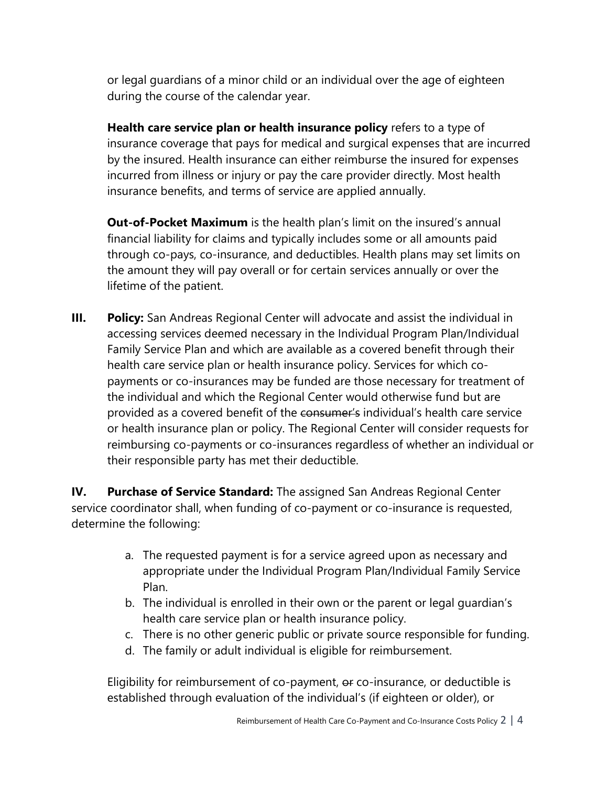or legal guardians of a minor child or an individual over the age of eighteen during the course of the calendar year.

**Health care service plan or health insurance policy** refers to a type of insurance coverage that pays for medical and surgical expenses that are incurred by the insured. Health insurance can either reimburse the insured for expenses incurred from illness or injury or pay the care provider directly. Most health insurance benefits, and terms of service are applied annually.

**Out-of-Pocket Maximum** is the health plan's limit on the insured's annual financial liability for claims and typically includes some or all amounts paid through co-pays, co-insurance, and deductibles. Health plans may set limits on the amount they will pay overall or for certain services annually or over the lifetime of the patient.

**III.** Policy: San Andreas Regional Center will advocate and assist the individual in accessing services deemed necessary in the Individual Program Plan/Individual Family Service Plan and which are available as a covered benefit through their health care service plan or health insurance policy. Services for which copayments or co-insurances may be funded are those necessary for treatment of the individual and which the Regional Center would otherwise fund but are provided as a covered benefit of the consumer's individual's health care service or health insurance plan or policy. The Regional Center will consider requests for reimbursing co-payments or co-insurances regardless of whether an individual or their responsible party has met their deductible.

**IV. Purchase of Service Standard:** The assigned San Andreas Regional Center service coordinator shall, when funding of co-payment or co-insurance is requested, determine the following:

- a. The requested payment is for a service agreed upon as necessary and appropriate under the Individual Program Plan/Individual Family Service Plan.
- b. The individual is enrolled in their own or the parent or legal guardian's health care service plan or health insurance policy.
- c. There is no other generic public or private source responsible for funding.
- d. The family or adult individual is eligible for reimbursement.

Eligibility for reimbursement of co-payment, of co-insurance, or deductible is established through evaluation of the individual's (if eighteen or older), or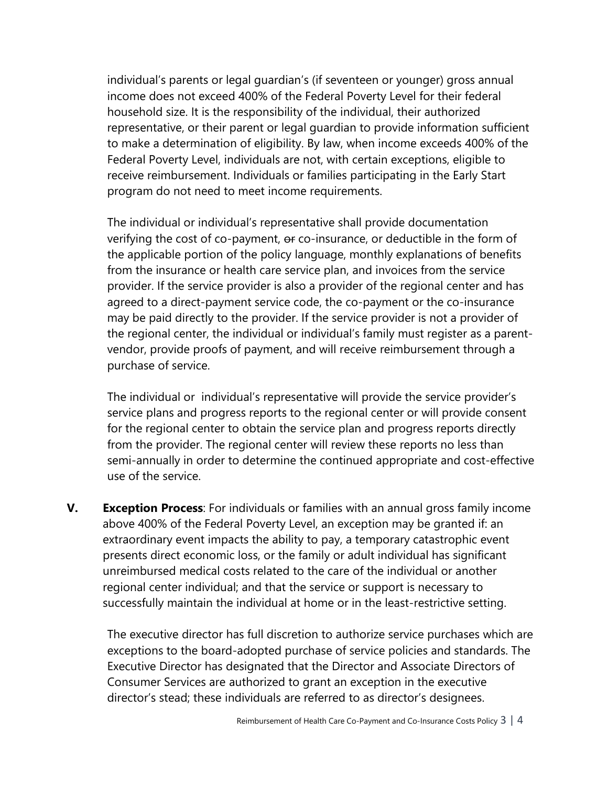individual's parents or legal guardian's (if seventeen or younger) gross annual income does not exceed 400% of the Federal Poverty Level for their federal household size. It is the responsibility of the individual, their authorized representative, or their parent or legal guardian to provide information sufficient to make a determination of eligibility. By law, when income exceeds 400% of the Federal Poverty Level, individuals are not, with certain exceptions, eligible to receive reimbursement. Individuals or families participating in the Early Start program do not need to meet income requirements.

The individual or individual's representative shall provide documentation verifying the cost of co-payment, or co-insurance, or deductible in the form of the applicable portion of the policy language, monthly explanations of benefits from the insurance or health care service plan, and invoices from the service provider. If the service provider is also a provider of the regional center and has agreed to a direct-payment service code, the co-payment or the co-insurance may be paid directly to the provider. If the service provider is not a provider of the regional center, the individual or individual's family must register as a parentvendor, provide proofs of payment, and will receive reimbursement through a purchase of service.

The individual or individual's representative will provide the service provider's service plans and progress reports to the regional center or will provide consent for the regional center to obtain the service plan and progress reports directly from the provider. The regional center will review these reports no less than semi-annually in order to determine the continued appropriate and cost-effective use of the service.

**V. Exception Process**: For individuals or families with an annual gross family income above 400% of the Federal Poverty Level, an exception may be granted if: an extraordinary event impacts the ability to pay, a temporary catastrophic event presents direct economic loss, or the family or adult individual has significant unreimbursed medical costs related to the care of the individual or another regional center individual; and that the service or support is necessary to successfully maintain the individual at home or in the least-restrictive setting.

The executive director has full discretion to authorize service purchases which are exceptions to the board-adopted purchase of service policies and standards. The Executive Director has designated that the Director and Associate Directors of Consumer Services are authorized to grant an exception in the executive director's stead; these individuals are referred to as director's designees.